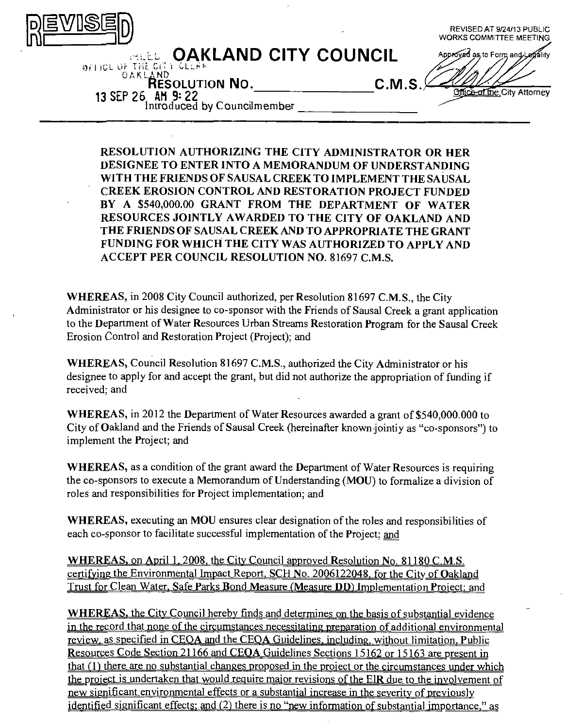| DE                                                                                                                                                                    | REVISED AT 9/24/13 PUBLIC<br><b>WORKS COMMITTEE MEETING</b>              |
|-----------------------------------------------------------------------------------------------------------------------------------------------------------------------|--------------------------------------------------------------------------|
| <b><i>CARLAND CITY COUNCIL</i></b><br><b>BEFICE OF THE CITY CLERK</b><br><b>DAKLAND</b><br><b>RESOLUTION NO.</b><br>13 SEP 26 AM 9: 22<br>Introduced by Councilmember | Approved as to Form and Legality<br>C.M.S<br>office of the City Attorney |

**RESOLUTION AUTHORIZING THE CITY ADMINISTRATOR OR HER DESIGNEE TO ENTER INTO A MEMORANDUM OF UNDERSTANDING WITH THE FRIENDS OF SAUSAL CREEK TO IMPLEMENT THE SAUSAL CREEK EROSION CONTROL AND RESTORATION PROJECT FUNDED BY A \$540,000.00 GRANT FROM THE DEPARTMENT OF WATER RESOURCES JOINTLY AWARDED TO THE CITY OF OAKLAND AND THE FRIENDS OF SAUSAL CREEK AND TO APPROPRIATE THE GRANT FUNDING FOR WHICH THE CITY WAS AUTHORIZED TO APPLY AND ACCEPT PER COUNCIL RESOLUTION NO. 81697 C.M.S.** 

WHEREAS, in 2008 City Council authorized, per Resolution 81697 C.M.S., the City Administrator or his designee to co-sponsor with the Friends of Sausal Creek a grant application to the Department of Water Resources Urban Streams Restoration Program for the Sausal Creek Erosion Control and Restoration Project (Project); and

WHEREAS, Council Resolution 81697 C.M.S., authorized the City Administrator or his designee to apply for and accept the grant, but did not authorize the appropriation of funding if received; and

WHEREAS, in 2012 the Department of Water Resources awarded a grant of \$540,000,000 to City of Oakland and the Friends of Sausal Creek (hereinafter known jointiy as "co-sponsors") to implement the Project; and

WHEREAS, as a condition of the grant award the Department of Water Resources is requiring the co-sponsors to execute a Memorandum of Understanding (MOU) to formalize a division of roles and responsibilities for Project implementation; and

WHEREAS, executing an MOU ensures clear designation of the roles and responsibilities of each co-sponsor to facilitate successful implementation of the Project; and

WHEREAS, on April 1, 2008, the City Council approved Resolution No. 81180 C.M.S. certifying the Environmental Impact Report. SCH No. 2006122048. for the City of Oakland Trust for Clean Water, Safe Parks Bond Measure (Measure DD) Implementation Project; and

WHEREAS, the City Council hereby finds and determines on the basis of substantial evidence in the record that none of the circumstances necessitating preparation of additional environmental review, as specified in CEQA and the CEQA Guidelines, including, without limitation. Public Resources Code Section 21166 and CEOA Guidelines Sections 15162 or 15163 are present in that  $(1)$  there are no substantial changes proposed in the project or the circumstances under which the project is undertaken that would require major revisions of the EIR due to the involvement of new significant environmental effects or a substantial increase in the severity of previously identified significant effects: and (2) there is no "new information of substantial importance." as